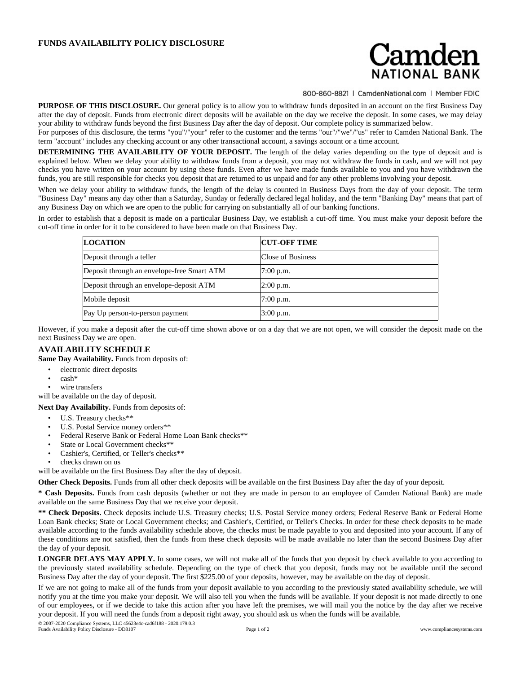## **FUNDS AVAILABILITY POLICY DISCLOSURE**

## amden

800-860-8821 | CamdenNational.com | Member FDIC

**PURPOSE OF THIS DISCLOSURE.** Our general policy is to allow you to withdraw funds deposited in an account on the first Business Day after the day of deposit. Funds from electronic direct deposits will be available on the day we receive the deposit. In some cases, we may delay your ability to withdraw funds beyond the first Business Day after the day of deposit. Our complete policy is summarized below.

For purposes of this disclosure, the terms "you"/"your" refer to the customer and the terms "our"/"we"/"us" refer to Camden National Bank. The term "account" includes any checking account or any other transactional account, a savings account or a time account.

**DETERMINING THE AVAILABILITY OF YOUR DEPOSIT.** The length of the delay varies depending on the type of deposit and is explained below. When we delay your ability to withdraw funds from a deposit, you may not withdraw the funds in cash, and we will not pay checks you have written on your account by using these funds. Even after we have made funds available to you and you have withdrawn the funds, you are still responsible for checks you deposit that are returned to us unpaid and for any other problems involving your deposit.

When we delay your ability to withdraw funds, the length of the delay is counted in Business Days from the day of your deposit. The term "Business Day" means any day other than a Saturday, Sunday or federally declared legal holiday, and the term "Banking Day" means that part of any Business Day on which we are open to the public for carrying on substantially all of our banking functions.

In order to establish that a deposit is made on a particular Business Day, we establish a cut-off time. You must make your deposit before the cut-off time in order for it to be considered to have been made on that Business Day.

| <b>LOCATION</b>                            | <b>CUT-OFF TIME</b> |
|--------------------------------------------|---------------------|
| Deposit through a teller                   | Close of Business   |
| Deposit through an envelope-free Smart ATM | 7:00 p.m.           |
| Deposit through an envelope-deposit ATM    | $2:00$ p.m.         |
| Mobile deposit                             | $7:00$ p.m.         |
| Pay Up person-to-person payment            | $3:00$ p.m.         |

However, if you make a deposit after the cut-off time shown above or on a day that we are not open, we will consider the deposit made on the next Business Day we are open.

## **AVAILABILITY SCHEDULE**

**Same Day Availability.** Funds from deposits of:

- electronic direct deposits
- cash\*
- wire transfers

will be available on the day of deposit.

**Next Day Availability.** Funds from deposits of:

- U.S. Treasury checks\*\*
- U.S. Postal Service money orders\*\*
- Federal Reserve Bank or Federal Home Loan Bank checks\*\*
- State or Local Government checks\*\*
- Cashier's, Certified, or Teller's checks\*\*
- checks drawn on us

will be available on the first Business Day after the day of deposit.

**Other Check Deposits.** Funds from all other check deposits will be available on the first Business Day after the day of your deposit.

**\* Cash Deposits.** Funds from cash deposits (whether or not they are made in person to an employee of Camden National Bank) are made available on the same Business Day that we receive your deposit.

**\*\* Check Deposits.** Check deposits include U.S. Treasury checks; U.S. Postal Service money orders; Federal Reserve Bank or Federal Home Loan Bank checks; State or Local Government checks; and Cashier's, Certified, or Teller's Checks. In order for these check deposits to be made available according to the funds availability schedule above, the checks must be made payable to you and deposited into your account. If any of these conditions are not satisfied, then the funds from these check deposits will be made available no later than the second Business Day after the day of your deposit.

**LONGER DELAYS MAY APPLY.** In some cases, we will not make all of the funds that you deposit by check available to you according to the previously stated availability schedule. Depending on the type of check that you deposit, funds may not be available until the second Business Day after the day of your deposit. The first \$225.00 of your deposits, however, may be available on the day of deposit.

If we are not going to make all of the funds from your deposit available to you according to the previously stated availability schedule, we will notify you at the time you make your deposit. We will also tell you when the funds will be available. If your deposit is not made directly to one of our employees, or if we decide to take this action after you have left the premises, we will mail you the notice by the day after we receive your deposit. If you will need the funds from a deposit right away, you should ask us when the funds will be available.